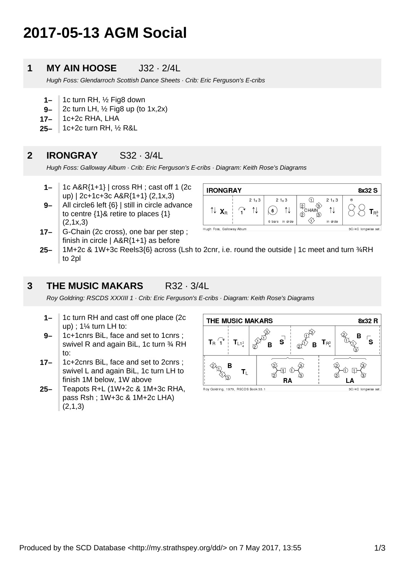# **2017-05-13 AGM Social**

#### **1 MY AIN HOOSE** J32 · 2/4L

Hugh Foss: Glendarroch Scottish Dance Sheets · Crib: Eric Ferguson's E-cribs

- **1–** 1c turn RH, ½ Fig8 down
- **9–** 2c turn LH,  $\frac{1}{2}$  Fig8 up (to 1x,2x)
- **17–** 1c+2c RHA, LHA

**17–**

**25–** 1c+2c turn RH, ½ R&L

#### **2 IRONGRAY** S32 · 3/4L

Hugh Foss: Galloway Album · Crib: Eric Ferguson's E-cribs · Diagram: Keith Rose's Diagrams

- **1–** 1c A&R{1+1} | cross RH ; cast off 1 (2c up) | 2c+1c+3c A&R{1+1} (2,1x,3)
- **9–** All circle6 left {6} | still in circle advance to centre {1}& retire to places {1}  $(2,1x,3)$ G-Chain (2c cross), one bar per step ;
- **IRONGRAY** 8x32 S  $21x3$  $21 \times 3$  $\bigcirc$  $21 \times 3$  $\begin{matrix} 2 \\ C \end{matrix}$  CHAIN  $\uparrow\downarrow$   $\mathbf{X}_B$ 1l ୀ↓ ⇅  $\widehat{\mathbf{r}}$  $(6)$  $T_{R^3}$  $\vec{z}$ ♦ 6 bars in drde in arde Hugh Foss, Galloway Album 3C/4C longwise set
- **25–** finish in circle  $| A&R{1+1}$  as before 1M+2c & 1W+3c Reels3{6} across (Lsh to 2cnr, i.e. round the outside | 1c meet and turn ¾RH to 2pl

#### **3 THE MUSIC MAKARS** R32 · 3/4L

Roy Goldring: RSCDS XXXIII 1 · Crib: Eric Ferguson's E-cribs · Diagram: Keith Rose's Diagrams

- **1–** 1c turn RH and cast off one place (2c up) ; 1¼ turn LH to:
- **9–** 1c+1cnrs BiL, face and set to 1cnrs ; swivel R and again BiL, 1c turn 34 RH to:
- **17–** 1c+2cnrs BiL, face and set to 2cnrs ; swivel L and again BiL, 1c turn LH to finish 1M below, 1W above
- **25–** Teapots R+L (1W+2c & 1M+3c RHA, pass Rsh ; 1W+3c & 1M+2c LHA)  $(2,1,3)$



Roy Goldring, 1979, RSCDS Book 33.1

3C/4C longwise set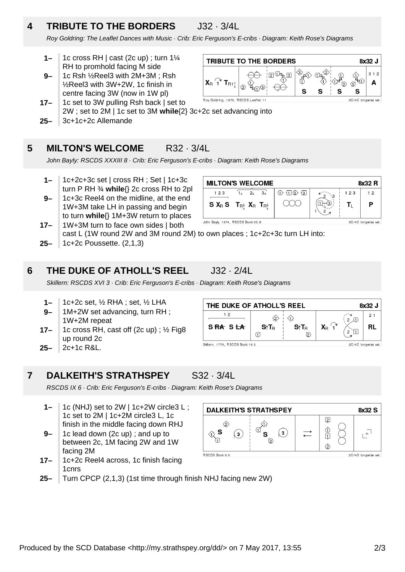## **4 TRIBUTE TO THE BORDERS** J32 · 3/4L

Roy Goldring: The Leaflet Dances with Music · Crib: Eric Ferguson's E-cribs · Diagram: Keith Rose's Diagrams

- **1–** 1c cross RH | cast (2c up) ; turn 1¼ RH to promhold facing M side
- **9–** 1c Rsh ½Reel3 with 2M+3M ; Rsh ½Reel3 with 3W+2W, 1c finish in centre facing 3W (now in 1W pl)



- **25– 17–** 1c set to 3W pulling Rsh back | set to 2W ; set to 2M | 1c set to 3M **while**{2} 3c+2c set advancing into 3c+1c+2c Allemande
- 

### **5 MILTON'S WELCOME** R32 · 3/4L

John Bayly: RSCDS XXXIII 8 · Crib: Eric Ferguson's E-cribs · Diagram: Keith Rose's Diagrams

- **1–** 1c+2c+3c set | cross RH ; Set | 1c+3c turn P RH ¾ **while**{} 2c cross RH to 2pl
- **9–** 1c+3c Reel4 on the midline, at the end 1W+3M take LH in passing and begin to turn **while**{} 1M+3W return to places 1W+3M turn to face own sides | both

| <b>MILTON'S WELCOME</b><br>8x32 R                               |  |           |                             |          |     |    |
|-----------------------------------------------------------------|--|-----------|-----------------------------|----------|-----|----|
| 1 2 3                                                           |  | $2x$ $3x$ | $(1)$ - $[1]$ $(3)$ - $[3]$ | $\sim$ 3 | 123 | 12 |
| <b>S X<sub>R</sub> S</b> $T_{R_A^3}$ X <sub>R</sub> $T_{R_A^3}$ |  |           |                             |          |     | Р  |
| John Bayly, 1974, RSCDS Book 33.8<br>3C/4C longwise set.        |  |           |                             |          |     |    |

**25– 17–** cast L (1W round 2W and 3M round 2M) to own places ; 1c+2c+3c turn LH into: 1c+2c Poussette. (2,1,3)

#### **6 THE DUKE OF ATHOLL'S REEL** J32 · 2/4L

Skillern: RSCDS XVI 3 · Crib: Eric Ferguson's E-cribs · Diagram: Keith Rose's Diagrams

- **1–** 1c+2c set, ½ RHA ; set, ½ LHA
- **9–** 1M+2W set advancing, turn RH ; 1W+2M repeat
- **17–** 1c cross RH, cast off (2c up) ; ½ Fig8 up round 2c
- **25–** 2c+1c R&L.

**7**

| THE DUKE OF ATHOLL'S REEL<br>8x32 J |      |           |                         |   |    |
|-------------------------------------|------|-----------|-------------------------|---|----|
| -2<br>SRA SLA                       | S↑TR | S↑TR<br>চ | $\mathsf{X}_\mathsf{R}$ | ົ | 21 |

RSCDS IX 6 · Crib: Eric Ferguson's E-cribs · Diagram: Keith Rose's Diagrams

**DALKEITH'S STRATHSPEY** S32 · 3/4L

- **1–** 1c (NHJ) set to 2W | 1c+2W circle3 L ; 1c set to 2M | 1c+2M circle3 L, 1c finish in the middle facing down RHJ
- **9–** 1c lead down (2c up) ; and up to between 2c, 1M facing 2W and 1W facing 2M
- **17–** 1c+2c Reel4 across, 1c finish facing 1cnrs
- **DALKEITH'S STRATHSPEY** 8x32 S  $\overline{2}$  $\frac{1}{2}$  $\overline{\mathbb{L}^+}$ S  $(\mathsf{3})$  $(\mathsf{s})$  $\dot{\textcirc}$ **RSCDS Book 9.6** 3C/4C longwise set
- **25–** Turn CPCP (2,1,3) (1st time through finish NHJ facing new 2W)